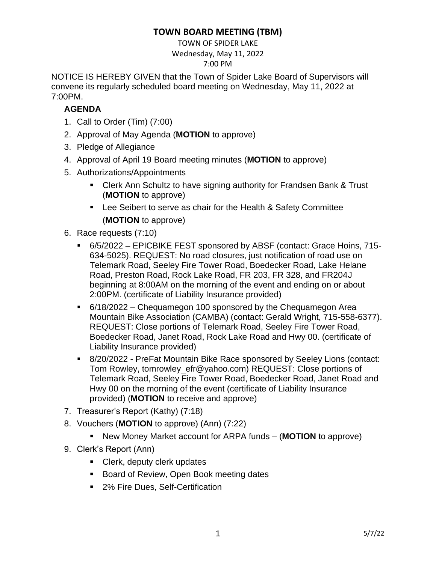## **TOWN BOARD MEETING (TBM)**

TOWN OF SPIDER LAKE

Wednesday, May 11, 2022

7:00 PM

NOTICE IS HEREBY GIVEN that the Town of Spider Lake Board of Supervisors will convene its regularly scheduled board meeting on Wednesday, May 11, 2022 at 7:00PM.

## **AGENDA**

- 1. Call to Order (Tim) (7:00)
- 2. Approval of May Agenda (**MOTION** to approve)
- 3. Pledge of Allegiance
- 4. Approval of April 19 Board meeting minutes (**MOTION** to approve)
- 5. Authorizations/Appointments
	- Clerk Ann Schultz to have signing authority for Frandsen Bank & Trust (**MOTION** to approve)
	- Lee Seibert to serve as chair for the Health & Safety Committee (**MOTION** to approve)
- 6. Race requests (7:10)
	- 6/5/2022 EPICBIKE FEST sponsored by ABSF (contact: Grace Hoins, 715-634-5025). REQUEST: No road closures, just notification of road use on Telemark Road, Seeley Fire Tower Road, Boedecker Road, Lake Helane Road, Preston Road, Rock Lake Road, FR 203, FR 328, and FR204J beginning at 8:00AM on the morning of the event and ending on or about 2:00PM. (certificate of Liability Insurance provided)
	- 6/18/2022 Chequamegon 100 sponsored by the Chequamegon Area Mountain Bike Association (CAMBA) (contact: Gerald Wright, 715-558-6377). REQUEST: Close portions of Telemark Road, Seeley Fire Tower Road, Boedecker Road, Janet Road, Rock Lake Road and Hwy 00. (certificate of Liability Insurance provided)
	- 8/20/2022 PreFat Mountain Bike Race sponsored by Seeley Lions (contact: Tom Rowley, tomrowley\_efr@yahoo.com) REQUEST: Close portions of Telemark Road, Seeley Fire Tower Road, Boedecker Road, Janet Road and Hwy 00 on the morning of the event (certificate of Liability Insurance provided) (**MOTION** to receive and approve)
- 7. Treasurer's Report (Kathy) (7:18)
- 8. Vouchers (**MOTION** to approve) (Ann) (7:22)
	- New Money Market account for ARPA funds (**MOTION** to approve)
- 9. Clerk's Report (Ann)
	- Clerk, deputy clerk updates
	- Board of Review, Open Book meeting dates
	- 2% Fire Dues, Self-Certification